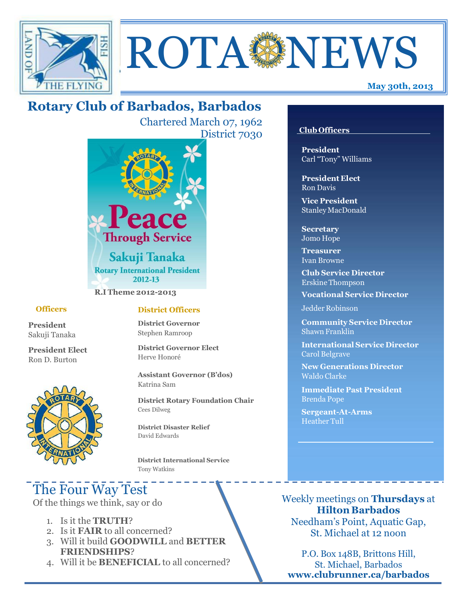



# **Rotary Club of Barbados, Barbados**

Chartered March 07, 1962 District 7030



**R.I Theme 2012-2013**

#### **Officers**

**President** Sakuji Tanaka

**President Elect** Ron D. Burton



#### **District Officers**

**District Governor** Stephen Ramroop

**District Governor Elect** Herve Honoré

**Assistant Governor (B'dos)** Katrina Sam

**District Rotary Foundation Chair** Cees Dilweg

**District Disaster Relief**  David Edwards

 **District International Service** Tony Watkins

# The Four Way Test

Of the things we think, say or do

- 1. Is it the **TRUTH**?
- 2. Is it **FAIR** to all concerned?
- 3. Will it build **GOODWILL** and **BETTER FRIENDSHIPS**?
- 4. Will it be **BENEFICIAL** to all concerned?

#### **Club Officers**

**President** Carl "Tony" Williams

**President Elect** Ron Davis

**Vice President** StanleyMacDonald

**Secretary** Jomo Hope

**Treasurer** Ivan Browne

**Club Service Director** Erskine Thompson

**Vocational Service Director**

Jedder Robinson

**Community Service Director** Shawn Franklin

**International Service Director** Carol Belgrave

**New Generations Director** Waldo Clarke

**Immediate Past President** Brenda Pope

**Sergeant-At-Arms** Heather Tull

Weekly meetings on **Thursdays** at **Hilton Barbados** Needham's Point, Aquatic Gap, St. Michael at 12 noon

P.O. Box 148B, Brittons Hill, St. Michael, Barbados **[www.clubrunner.ca/barbados](http://www.clubrunner.ca/barbados)**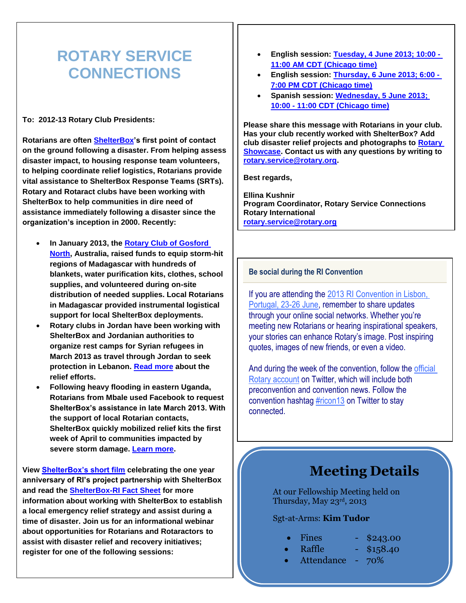# **ROTARY SERVICE CONNECTIONS**

**To: 2012-13 Rotary Club Presidents:**

**Rotarians are often [ShelterBox'](http://echo4.bluehornet.com/ct/20973950:22817898438:m:1:994858623:3B78484AC24048FEC2D1FF4F235BA87F:r)s first point of contact on the ground following a disaster. From helping assess disaster impact, to housing response team volunteers, to helping coordinate relief logistics, Rotarians provide vital assistance to ShelterBox Response Teams (SRTs). Rotary and Rotaract clubs have been working with ShelterBox to help communities in dire need of assistance immediately following a disaster since the organization's inception in 2000. Recently:**

- **In January 2013, the [Rotary Club of Gosford](http://echo4.bluehornet.com/ct/20973951:22817898438:m:1:994858623:3B78484AC24048FEC2D1FF4F235BA87F:r)  [North,](http://echo4.bluehornet.com/ct/20973951:22817898438:m:1:994858623:3B78484AC24048FEC2D1FF4F235BA87F:r) Australia, raised funds to equip storm-hit regions of Madagascar with hundreds of blankets, water purification kits, clothes, school supplies, and volunteered during on-site distribution of needed supplies. Local Rotarians in Madagascar provided instrumental logistical support for local ShelterBox deployments.**
- **Rotary clubs in Jordan have been working with ShelterBox and Jordanian authorities to organize rest camps for Syrian refugees in March 2013 as travel through Jordan to seek protection in Lebanon. [Read more](http://echo4.bluehornet.com/ct/20973952:22817898438:m:1:994858623:3B78484AC24048FEC2D1FF4F235BA87F:r) about the relief efforts.**
- **Following heavy flooding in eastern Uganda, Rotarians from Mbale used Facebook to request ShelterBox's assistance in late March 2013. With the support of local Rotarian contacts, ShelterBox quickly mobilized relief kits the first week of April to communities impacted by severe storm damage. [Learn more.](http://echo4.bluehornet.com/ct/20973953:22817898438:m:1:994858623:3B78484AC24048FEC2D1FF4F235BA87F:r)**

**View [ShelterBox's short film](http://echo4.bluehornet.com/ct/20973954:22817898438:m:1:994858623:3B78484AC24048FEC2D1FF4F235BA87F:r) celebrating the one year anniversary of RI's project partnership with ShelterBox and read the [ShelterBox-RI Fact Sheet](http://echo4.bluehornet.com/ct/20973955:22817898438:m:1:994858623:3B78484AC24048FEC2D1FF4F235BA87F:r) for more information about working with ShelterBox to establish a local emergency relief strategy and assist during a time of disaster. Join us for an informational webinar about opportunities for Rotarians and Rotaractors to assist with disaster relief and recovery initiatives; register for one of the following sessions:**

- **English session: [Tuesday, 4 June 2013; 10:00 -](http://echo4.bluehornet.com/ct/20973956:22817898438:m:1:994858623:3B78484AC24048FEC2D1FF4F235BA87F:r) 11:00 AM CDT [\(Chicago time\)](http://echo4.bluehornet.com/ct/20973956:22817898438:m:1:994858623:3B78484AC24048FEC2D1FF4F235BA87F:r)**
- **English session: [Thursday, 6 June 2013; 6:00 -](http://echo4.bluehornet.com/ct/20973957:22817898438:m:1:994858623:3B78484AC24048FEC2D1FF4F235BA87F:r) 7:00 PM CDT [\(Chicago time\)](http://echo4.bluehornet.com/ct/20973957:22817898438:m:1:994858623:3B78484AC24048FEC2D1FF4F235BA87F:r)**
- **Spanish session: [Wednesday, 5 June 2013;](http://echo4.bluehornet.com/ct/20973958:22817898438:m:1:994858623:3B78484AC24048FEC2D1FF4F235BA87F:r)  10:00 - 11:00 CDT [\(Chicago time\)](http://echo4.bluehornet.com/ct/20973958:22817898438:m:1:994858623:3B78484AC24048FEC2D1FF4F235BA87F:r)**

**Please share this message with Rotarians in your club. Has your club recently worked with ShelterBox? Add club disaster relief projects and photographs to [Rotary](http://echo4.bluehornet.com/ct/20973959:22817898438:m:1:994858623:3B78484AC24048FEC2D1FF4F235BA87F:r)  [Showcase.](http://echo4.bluehornet.com/ct/20973959:22817898438:m:1:994858623:3B78484AC24048FEC2D1FF4F235BA87F:r) Contact us with any questions by writing to [rotary.service@rotary.org.](mailto:rotary.service@rotary.org)** 

**Best regards,**

**Ellina Kushnir Program Coordinator, Rotary Service Connections Rotary International [rotary.service@rotary.org](mailto:rotary.service@rotary.org)**

#### **Be social during the RI Convention**

If you are attending the [2013 RI Convention in Lisbon,](http://echo4.bluehornet.com/ct/21168268:22951710239:m:1:995154605:88EF538A7B6B9146E8FEFF721909FC2F:r)  [Portugal, 23-26 June,](http://echo4.bluehornet.com/ct/21168268:22951710239:m:1:995154605:88EF538A7B6B9146E8FEFF721909FC2F:r) remember to share updates through your online social networks. Whether you're meeting new Rotarians or hearing inspirational speakers, your stories can enhance Rotary's image. Post inspiring quotes, images of new friends, or even a video.

And during the week of the convention, follow the [official](http://echo4.bluehornet.com/ct/21168269:22951710239:m:1:995154605:88EF538A7B6B9146E8FEFF721909FC2F:r)  [Rotary account](http://echo4.bluehornet.com/ct/21168269:22951710239:m:1:995154605:88EF538A7B6B9146E8FEFF721909FC2F:r) on Twitter, which will include both preconvention and convention news. Follow the convention hashtag [#ricon13](http://echo4.bluehornet.com/ct/21168270:22951710239:m:1:995154605:88EF538A7B6B9146E8FEFF721909FC2F:r) on Twitter to stay connected.

# **Meeting Details**

At our Fellowship Meeting held on Thursday, May 23rd , 2013

#### Sgt-at-Arms: **Kim Tudor**

- Fines \$243.00
	- Raffle \$158.40
- Attendance 70%
-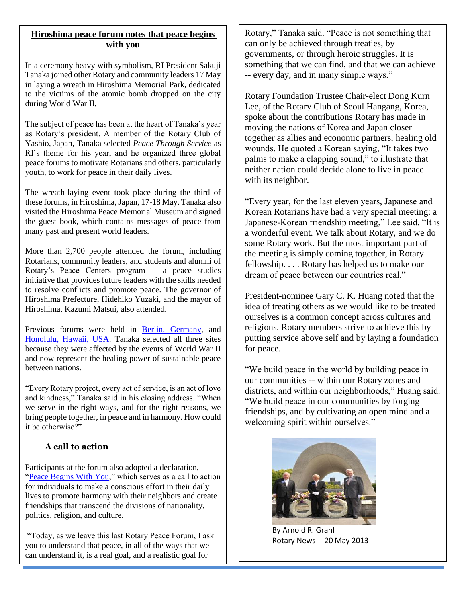### **Hiroshima peace forum notes that peace begins with you**

In a ceremony heavy with symbolism, RI President Sakuji Tanaka joined other Rotary and community leaders 17 May in laying a wreath in Hiroshima Memorial Park, dedicated to the victims of the atomic bomb dropped on the city during World War II.

The subject of peace has been at the heart of Tanaka's year as Rotary's president. A member of the Rotary Club of Yashio, Japan, Tanaka selected *Peace Through Service* as RI's theme for his year, and he organized three global peace forums to motivate Rotarians and others, particularly youth, to work for peace in their daily lives.

The wreath-laying event took place during the third of these forums, in Hiroshima, Japan, 17-18 May. Tanaka also visited the Hiroshima Peace Memorial Museum and signed the guest book, which contains messages of peace from many past and present world leaders.

More than 2,700 people attended the forum, including Rotarians, community leaders, and students and alumni of Rotary's Peace Centers program -- a peace studies initiative that provides future leaders with the skills needed to resolve conflicts and promote peace. The governor of Hiroshima Prefecture, Hidehiko Yuzaki, and the mayor of Hiroshima, Kazumi Matsui, also attended.

Previous forums were held in [Berlin, Germany,](http://www.rotary.org/en/mediaandnews/news/pages/121205_news_berlinforum.aspx) and [Honolulu, Hawaii, USA.](http://www.rotary.org/en/mediaandnews/news/pages/130129_news_honolulu.aspx) Tanaka selected all three sites because they were affected by the events of World War II and now represent the healing power of sustainable peace between nations.

"Every Rotary project, every act of service, is an act of love and kindness," Tanaka said in his closing address. "When we serve in the right ways, and for the right reasons, we bring people together, in peace and in harmony. How could it be otherwise?"

#### **A call to action**

Participants at the forum also adopted a declaration, ["Peace Begins With You,](http://www.rotary.org/RIdocuments/en_pdf/peace_declaration_hiroshima_en.pdf)" which serves as a call to action for individuals to make a conscious effort in their daily lives to promote harmony with their neighbors and create friendships that transcend the divisions of nationality, politics, religion, and culture.

"Today, as we leave this last Rotary Peace Forum, I ask you to understand that peace, in all of the ways that we can understand it, is a real goal, and a realistic goal for

Rotary," Tanaka said. "Peace is not something that can only be achieved through treaties, by governments, or through heroic struggles. It is something that we can find, and that we can achieve -- every day, and in many simple ways."

Rotary Foundation Trustee Chair-elect Dong Kurn Lee, of the Rotary Club of Seoul Hangang, Korea, spoke about the contributions Rotary has made in moving the nations of Korea and Japan closer together as allies and economic partners, healing old wounds. He quoted a Korean saying, "It takes two palms to make a clapping sound," to illustrate that neither nation could decide alone to live in peace with its neighbor.

"Every year, for the last eleven years, Japanese and Korean Rotarians have had a very special meeting: a Japanese-Korean friendship meeting," Lee said. "It is a wonderful event. We talk about Rotary, and we do some Rotary work. But the most important part of the meeting is simply coming together, in Rotary fellowship. . . . Rotary has helped us to make our dream of peace between our countries real."

President-nominee Gary C. K. Huang noted that the idea of treating others as we would like to be treated ourselves is a common concept across cultures and religions. Rotary members strive to achieve this by putting service above self and by laying a foundation for peace.

"We build peace in the world by building peace in our communities -- within our Rotary zones and districts, and within our neighborhoods," Huang said. "We build peace in our communities by forging friendships, and by cultivating an open mind and a welcoming spirit within ourselves."



By Arnold R. Grahl Rotary News -- 20 May 2013